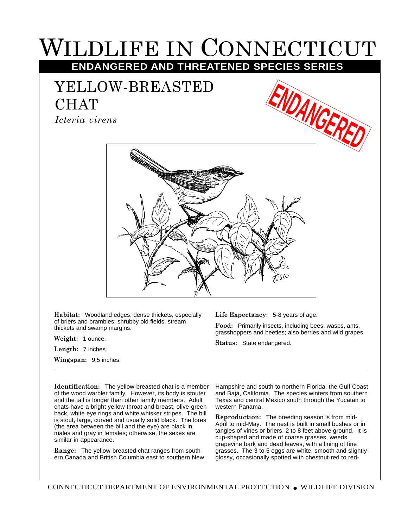## WILDLIFE IN CONNECTICUT **ENDANGERED AND THREATENED SPECIES SERIES**

## YELLOW-BREASTED CHAT

*Icteria virens*





**Habitat:** Woodland edges; dense thickets, especially of briers and brambles; shrubby old fields, stream thickets and swamp margins.

**Weight:** 1 ounce.

**Length:** 7 inches.

**Wingspan:** 9.5 inches.

**Life Expectancy:** 5-8 years of age.

**Food:** Primarily insects, including bees, wasps, ants, grasshoppers and beetles; also berries and wild grapes.

**Status:** State endangered.

**Identification:** The yellow-breasted chat is a member of the wood warbler family. However, its body is stouter and the tail is longer than other family members. Adult chats have a bright yellow throat and breast, olive-green back, white eye rings and white whisker stripes. The bill is stout, large, curved and usually solid black. The lores (the area between the bill and the eye) are black in males and gray in females; otherwise, the sexes are similar in appearance.

**Range:** The yellow-breasted chat ranges from southern Canada and British Columbia east to southern New Hampshire and south to northern Florida, the Gulf Coast and Baja, California. The species winters from southern Texas and central Mexico south through the Yucatan to western Panama.

**Reproduction:** The breeding season is from mid-April to mid-May. The nest is built in small bushes or in tangles of vines or briers, 2 to 8 feet above ground. It is cup-shaped and made of coarse grasses, weeds, grapevine bark and dead leaves, with a lining of fine grasses. The 3 to 5 eggs are white, smooth and slightly glossy, occasionally spotted with chestnut-red to red-

CONNECTICUT DEPARTMENT OF ENVIRONMENTAL PROTECTION ● WILDLIFE DIVISION